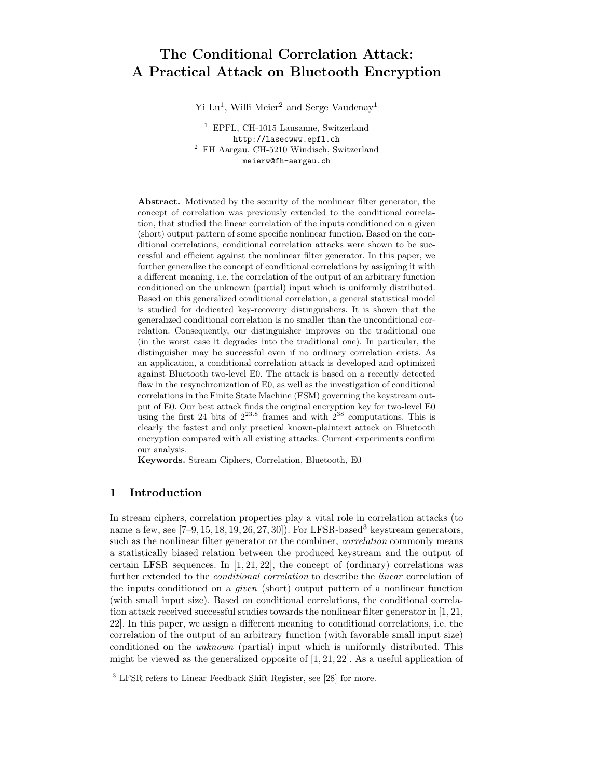# The Conditional Correlation Attack: A Practical Attack on Bluetooth Encryption

Yi Lu<sup>1</sup>, Willi Meier<sup>2</sup> and Serge Vaudenay<sup>1</sup>

<sup>1</sup> EPFL, CH-1015 Lausanne, Switzerland http://lasecwww.epfl.ch <sup>2</sup> FH Aargau, CH-5210 Windisch, Switzerland meierw@fh-aargau.ch

Abstract. Motivated by the security of the nonlinear filter generator, the concept of correlation was previously extended to the conditional correlation, that studied the linear correlation of the inputs conditioned on a given (short) output pattern of some specific nonlinear function. Based on the conditional correlations, conditional correlation attacks were shown to be successful and efficient against the nonlinear filter generator. In this paper, we further generalize the concept of conditional correlations by assigning it with a different meaning, i.e. the correlation of the output of an arbitrary function conditioned on the unknown (partial) input which is uniformly distributed. Based on this generalized conditional correlation, a general statistical model is studied for dedicated key-recovery distinguishers. It is shown that the generalized conditional correlation is no smaller than the unconditional correlation. Consequently, our distinguisher improves on the traditional one (in the worst case it degrades into the traditional one). In particular, the distinguisher may be successful even if no ordinary correlation exists. As an application, a conditional correlation attack is developed and optimized against Bluetooth two-level E0. The attack is based on a recently detected flaw in the resynchronization of E0, as well as the investigation of conditional correlations in the Finite State Machine (FSM) governing the keystream output of E0. Our best attack finds the original encryption key for two-level E0 using the first 24 bits of  $2^{23.8}$  frames and with  $2^{38}$  computations. This is clearly the fastest and only practical known-plaintext attack on Bluetooth encryption compared with all existing attacks. Current experiments confirm our analysis.

Keywords. Stream Ciphers, Correlation, Bluetooth, E0

## 1 Introduction

In stream ciphers, correlation properties play a vital role in correlation attacks (to name a few, see  $[7-9, 15, 18, 19, 26, 27, 30]$ . For LFSR-based<sup>3</sup> keystream generators, such as the nonlinear filter generator or the combiner, *correlation* commonly means a statistically biased relation between the produced keystream and the output of certain LFSR sequences. In  $[1, 21, 22]$ , the concept of (ordinary) correlations was further extended to the *conditional correlation* to describe the *linear* correlation of the inputs conditioned on a given (short) output pattern of a nonlinear function (with small input size). Based on conditional correlations, the conditional correlation attack received successful studies towards the nonlinear filter generator in [1, 21, 22]. In this paper, we assign a different meaning to conditional correlations, i.e. the correlation of the output of an arbitrary function (with favorable small input size) conditioned on the unknown (partial) input which is uniformly distributed. This might be viewed as the generalized opposite of  $[1, 21, 22]$ . As a useful application of

<sup>3</sup> LFSR refers to Linear Feedback Shift Register, see [28] for more.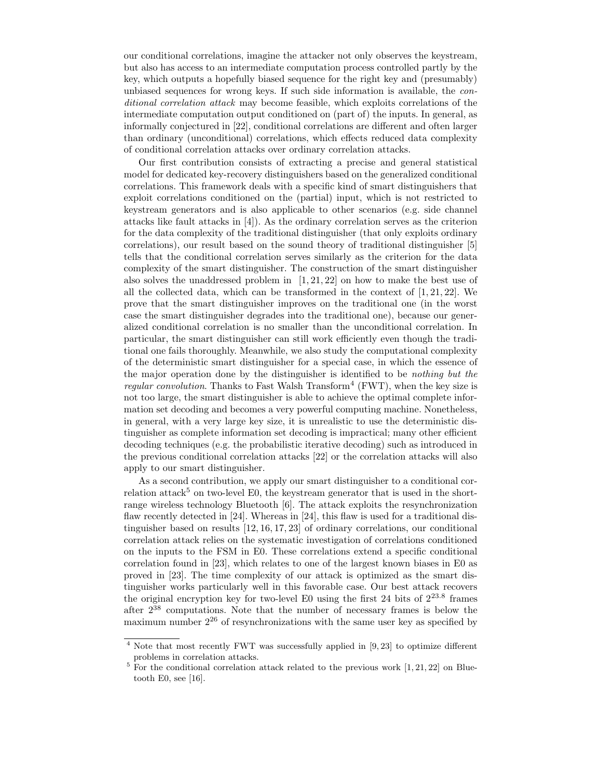our conditional correlations, imagine the attacker not only observes the keystream, but also has access to an intermediate computation process controlled partly by the key, which outputs a hopefully biased sequence for the right key and (presumably) unbiased sequences for wrong keys. If such side information is available, the conditional correlation attack may become feasible, which exploits correlations of the intermediate computation output conditioned on (part of) the inputs. In general, as informally conjectured in [22], conditional correlations are different and often larger than ordinary (unconditional) correlations, which effects reduced data complexity of conditional correlation attacks over ordinary correlation attacks.

Our first contribution consists of extracting a precise and general statistical model for dedicated key-recovery distinguishers based on the generalized conditional correlations. This framework deals with a specific kind of smart distinguishers that exploit correlations conditioned on the (partial) input, which is not restricted to keystream generators and is also applicable to other scenarios (e.g. side channel attacks like fault attacks in [4]). As the ordinary correlation serves as the criterion for the data complexity of the traditional distinguisher (that only exploits ordinary correlations), our result based on the sound theory of traditional distinguisher [5] tells that the conditional correlation serves similarly as the criterion for the data complexity of the smart distinguisher. The construction of the smart distinguisher also solves the unaddressed problem in [1, 21, 22] on how to make the best use of all the collected data, which can be transformed in the context of  $[1, 21, 22]$ . We prove that the smart distinguisher improves on the traditional one (in the worst case the smart distinguisher degrades into the traditional one), because our generalized conditional correlation is no smaller than the unconditional correlation. In particular, the smart distinguisher can still work efficiently even though the traditional one fails thoroughly. Meanwhile, we also study the computational complexity of the deterministic smart distinguisher for a special case, in which the essence of the major operation done by the distinguisher is identified to be nothing but the regular convolution. Thanks to Fast Walsh Transform<sup>4</sup> (FWT), when the key size is not too large, the smart distinguisher is able to achieve the optimal complete information set decoding and becomes a very powerful computing machine. Nonetheless, in general, with a very large key size, it is unrealistic to use the deterministic distinguisher as complete information set decoding is impractical; many other efficient decoding techniques (e.g. the probabilistic iterative decoding) such as introduced in the previous conditional correlation attacks [22] or the correlation attacks will also apply to our smart distinguisher.

As a second contribution, we apply our smart distinguisher to a conditional correlation attack<sup>5</sup> on two-level E0, the keystream generator that is used in the shortrange wireless technology Bluetooth [6]. The attack exploits the resynchronization flaw recently detected in [24]. Whereas in [24], this flaw is used for a traditional distinguisher based on results [12, 16, 17, 23] of ordinary correlations, our conditional correlation attack relies on the systematic investigation of correlations conditioned on the inputs to the FSM in E0. These correlations extend a specific conditional correlation found in [23], which relates to one of the largest known biases in E0 as proved in [23]. The time complexity of our attack is optimized as the smart distinguisher works particularly well in this favorable case. Our best attack recovers the original encryption key for two-level E0 using the first 24 bits of  $2^{23.8}$  frames after 2 <sup>38</sup> computations. Note that the number of necessary frames is below the maximum number  $2^{26}$  of resynchronizations with the same user key as specified by

<sup>&</sup>lt;sup>4</sup> Note that most recently FWT was successfully applied in [9, 23] to optimize different problems in correlation attacks.

 $5$  For the conditional correlation attack related to the previous work  $[1, 21, 22]$  on Bluetooth E0, see [16].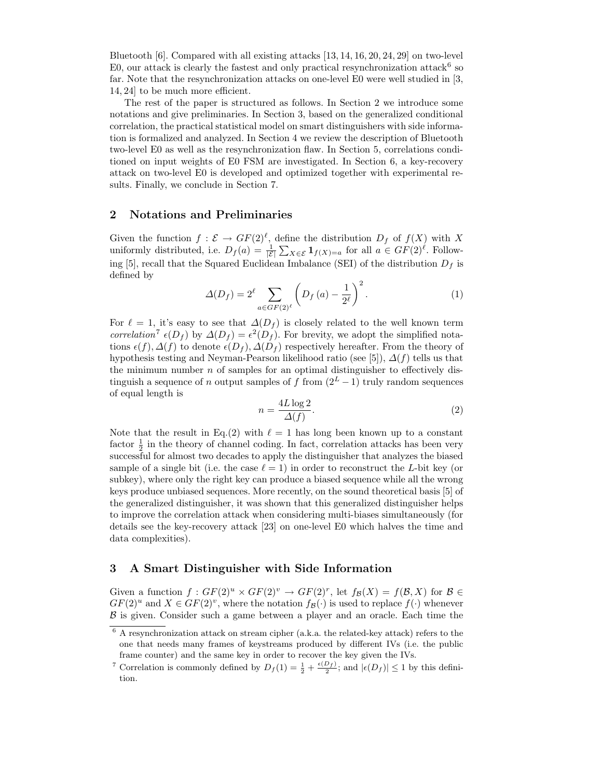Bluetooth  $[6]$ . Compared with all existing attacks  $[13, 14, 16, 20, 24, 29]$  on two-level E0, our attack is clearly the fastest and only practical resynchronization attack<sup>6</sup> so far. Note that the resynchronization attacks on one-level E0 were well studied in [3, 14, 24] to be much more efficient.

The rest of the paper is structured as follows. In Section 2 we introduce some notations and give preliminaries. In Section 3, based on the generalized conditional correlation, the practical statistical model on smart distinguishers with side information is formalized and analyzed. In Section 4 we review the description of Bluetooth two-level E0 as well as the resynchronization flaw. In Section 5, correlations conditioned on input weights of E0 FSM are investigated. In Section 6, a key-recovery attack on two-level E0 is developed and optimized together with experimental results. Finally, we conclude in Section 7.

## 2 Notations and Preliminaries

Given the function  $f: \mathcal{E} \to GF(2)^{\ell}$ , define the distribution  $D_f$  of  $f(X)$  with X uniformly distributed, i.e.  $D_f(a) = \frac{1}{|\mathcal{E}|} \sum_{X \in \mathcal{E}} \mathbf{1}_{f(X)=a}$  for all  $a \in GF(2)^{\ell}$ . Following [5], recall that the Squared Euclidean Imbalance (SEI) of the distribution  $D_f$  is defined by

$$
\Delta(D_f) = 2^{\ell} \sum_{a \in GF(2)^{\ell}} \left( D_f(a) - \frac{1}{2^{\ell}} \right)^2.
$$
 (1)

For  $\ell = 1$ , it's easy to see that  $\Delta(D_f)$  is closely related to the well known term correlation<sup>7</sup>  $\epsilon(D_f)$  by  $\Delta(D_f) = \epsilon^2(D_f)$ . For brevity, we adopt the simplified notations  $\epsilon(f)$ ,  $\Delta(f)$  to denote  $\epsilon(D_f)$ ,  $\Delta(D_f)$  respectively hereafter. From the theory of hypothesis testing and Neyman-Pearson likelihood ratio (see [5]),  $\Delta(f)$  tells us that the minimum number  $n$  of samples for an optimal distinguisher to effectively distinguish a sequence of n output samples of f from  $(2^L - 1)$  truly random sequences of equal length is

$$
n = \frac{4L\log 2}{\Delta(f)}.\tag{2}
$$

Note that the result in Eq.(2) with  $\ell = 1$  has long been known up to a constant factor  $\frac{1}{2}$  in the theory of channel coding. In fact, correlation attacks has been very successful for almost two decades to apply the distinguisher that analyzes the biased sample of a single bit (i.e. the case  $\ell = 1$ ) in order to reconstruct the L-bit key (or subkey), where only the right key can produce a biased sequence while all the wrong keys produce unbiased sequences. More recently, on the sound theoretical basis [5] of the generalized distinguisher, it was shown that this generalized distinguisher helps to improve the correlation attack when considering multi-biases simultaneously (for details see the key-recovery attack [23] on one-level E0 which halves the time and data complexities).

### 3 A Smart Distinguisher with Side Information

Given a function  $f: GF(2)^u \times GF(2)^v \to GF(2)^r$ , let  $f_{\mathcal{B}}(X) = f(\mathcal{B}, X)$  for  $\mathcal{B} \in$  $GF(2)^u$  and  $X \in GF(2)^v$ , where the notation  $f_{\mathcal{B}}(\cdot)$  is used to replace  $f(\cdot)$  whenever  $\beta$  is given. Consider such a game between a player and an oracle. Each time the

 $6$  A resynchronization attack on stream cipher (a.k.a. the related-key attack) refers to the one that needs many frames of keystreams produced by different IVs (i.e. the public frame counter) and the same key in order to recover the key given the IVs.

<sup>&</sup>lt;sup>7</sup> Correlation is commonly defined by  $D_f(1) = \frac{1}{2} + \frac{\epsilon(D_f)}{2}$ ; and  $|\epsilon(D_f)| \leq 1$  by this definition.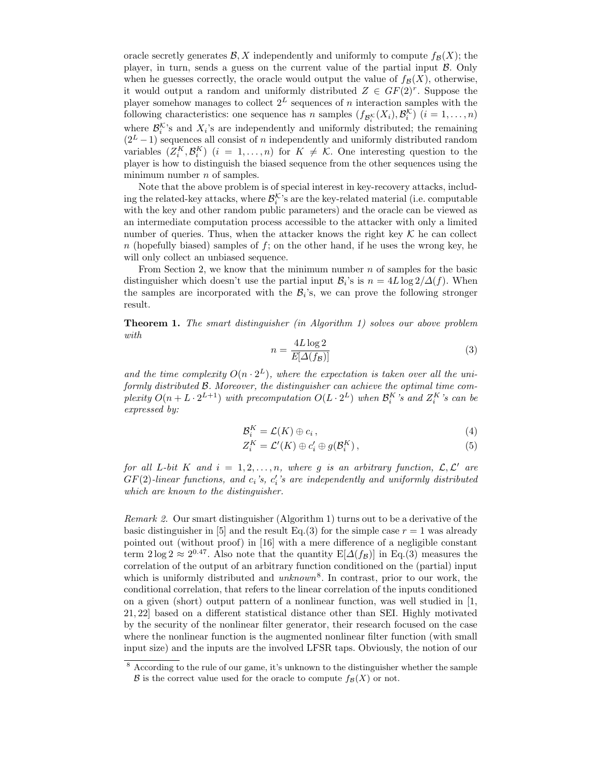oracle secretly generates  $\mathcal{B}, X$  independently and uniformly to compute  $f_{\mathcal{B}}(X)$ ; the player, in turn, sends a guess on the current value of the partial input B. Only when he guesses correctly, the oracle would output the value of  $f_B(X)$ , otherwise, it would output a random and uniformly distributed  $Z \in GF(2)^r$ . Suppose the player somehow manages to collect  $2^L$  sequences of n interaction samples with the following characteristics: one sequence has n samples  $(f_{\mathcal{B}_{i}^{\mathcal{K}}}(X_{i}), \mathcal{B}_{i}^{\mathcal{K}})$   $(i = 1, \ldots, n)$ where  $\mathcal{B}_i^{\mathcal{K}}$ 's and  $X_i$ 's are independently and uniformly distributed; the remaining  $(2^L-1)$  sequences all consist of n independently and uniformly distributed random variables  $(Z_i^K, \mathcal{B}_i^K)$   $(i = 1, ..., n)$  for  $K \neq \mathcal{K}$ . One interesting question to the player is how to distinguish the biased sequence from the other sequences using the minimum number  $n$  of samples.

Note that the above problem is of special interest in key-recovery attacks, including the related-key attacks, where  $\mathcal{B}_i^{\mathcal{K}}$ 's are the key-related material (i.e. computable with the key and other random public parameters) and the oracle can be viewed as an intermediate computation process accessible to the attacker with only a limited number of queries. Thus, when the attacker knows the right key  $\mathcal K$  he can collect n (hopefully biased) samples of  $f$ ; on the other hand, if he uses the wrong key, he will only collect an unbiased sequence.

From Section 2, we know that the minimum number  $n$  of samples for the basic distinguisher which doesn't use the partial input  $\mathcal{B}_i$ 's is  $n = 4L \log 2/\Delta(f)$ . When the samples are incorporated with the  $\mathcal{B}_i$ 's, we can prove the following stronger result.

**Theorem 1.** The smart distinguisher (in Algorithm 1) solves our above problem with

$$
n = \frac{4L\log 2}{E[\Delta(f_B)]} \tag{3}
$$

and the time complexity  $O(n \cdot 2^L)$ , where the expectation is taken over all the uniformly distributed B. Moreover, the distinguisher can achieve the optimal time complexity  $O(n+L\cdot 2^{L+1})$  with precomputation  $O(L\cdot 2^L)$  when  $\mathcal{B}_i^K$ 's and  $Z_i^K$ 's can be expressed by:

$$
\mathcal{B}_i^K = \mathcal{L}(K) \oplus c_i \,, \tag{4}
$$

$$
Z_i^K = \mathcal{L}'(K) \oplus c_i' \oplus g(\mathcal{B}_i^K), \tag{5}
$$

for all L-bit K and  $i = 1, 2, ..., n$ , where g is an arbitrary function,  $\mathcal{L}, \mathcal{L}'$  are  $GF(2)$ -linear functions, and  $c_i$ 's,  $c'_i$ 's are independently and uniformly distributed which are known to the distinguisher.

Remark 2. Our smart distinguisher (Algorithm 1) turns out to be a derivative of the basic distinguisher in [5] and the result Eq.(3) for the simple case  $r = 1$  was already pointed out (without proof) in [16] with a mere difference of a negligible constant term  $2\log 2 \approx 2^{0.47}$ . Also note that the quantity  $E[\Delta(f_B)]$  in Eq.(3) measures the correlation of the output of an arbitrary function conditioned on the (partial) input which is uniformly distributed and unknown<sup>8</sup>. In contrast, prior to our work, the conditional correlation, that refers to the linear correlation of the inputs conditioned on a given (short) output pattern of a nonlinear function, was well studied in [1, 21, 22] based on a different statistical distance other than SEI. Highly motivated by the security of the nonlinear filter generator, their research focused on the case where the nonlinear function is the augmented nonlinear filter function (with small input size) and the inputs are the involved LFSR taps. Obviously, the notion of our

<sup>&</sup>lt;sup>8</sup> According to the rule of our game, it's unknown to the distinguisher whether the sample B is the correct value used for the oracle to compute  $f_{\mathcal{B}}(X)$  or not.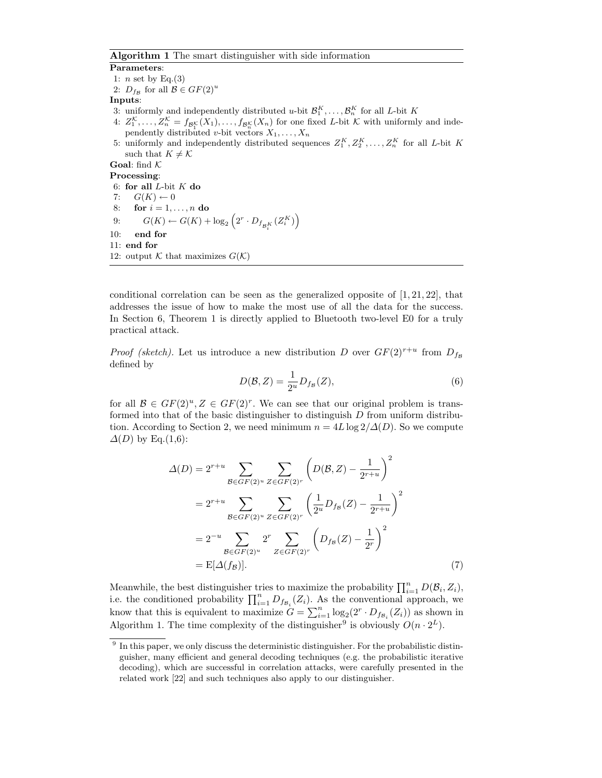#### Algorithm 1 The smart distinguisher with side information

Parameters: 1:  $n$  set by Eq.(3) 2:  $D_{fg}$  for all  $\mathcal{B} \in GF(2)^u$ Inputs: 3: uniformly and independently distributed u-bit  $\mathcal{B}_1^K$ , ...,  $\mathcal{B}_n^K$  for all L-bit K 4:  $Z_1^{\mathcal{K}}, \ldots, Z_n^{\mathcal{K}} = f_{\mathcal{B}_1^{\mathcal{K}}}(X_1), \ldots, f_{\mathcal{B}_n^{\mathcal{K}}}(X_n)$  for one fixed L-bit  $\mathcal{K}$  with uniformly and independently distributed v-bit vectors  $X_1, \ldots, X_n$ 5: uniformly and independently distributed sequences  $Z_1^K, Z_2^K, \ldots, Z_n^K$  for all L-bit K such that  $K \neq \mathcal{K}$ **Goal:** find  $K$ Processing: 6: for all  $L$ -bit  $K$  do 7:  $G(K) \leftarrow 0$ 8: for  $i = 1, \ldots, n$  do 9:  $G(K) \leftarrow G(K) + \log_2 (2^r \cdot D_{f_{B_i^K}}(Z_i^K))$ 10: end for 11: end for 12: output K that maximizes  $G(K)$ 

conditional correlation can be seen as the generalized opposite of  $[1, 21, 22]$ , that addresses the issue of how to make the most use of all the data for the success. In Section 6, Theorem 1 is directly applied to Bluetooth two-level E0 for a truly practical attack.

*Proof (sketch)*. Let us introduce a new distribution D over  $GF(2)^{r+u}$  from  $D_{fs}$ defined by

$$
D(\mathcal{B}, Z) = \frac{1}{2^u} D_{fg}(Z),\tag{6}
$$

for all  $\mathcal{B} \in GF(2)^u, Z \in GF(2)^r$ . We can see that our original problem is transformed into that of the basic distinguisher to distinguish  $D$  from uniform distribution. According to Section 2, we need minimum  $n = 4L \log 2/\Delta(D)$ . So we compute  $\Delta(D)$  by Eq.(1,6):

$$
\Delta(D) = 2^{r+u} \sum_{\mathcal{B} \in GF(2)^u} \sum_{Z \in GF(2)^r} \left( D(\mathcal{B}, Z) - \frac{1}{2^{r+u}} \right)^2
$$
  
=  $2^{r+u} \sum_{\mathcal{B} \in GF(2)^u} \sum_{Z \in GF(2)^r} \left( \frac{1}{2^u} D_{fg}(Z) - \frac{1}{2^{r+u}} \right)^2$   
=  $2^{-u} \sum_{\mathcal{B} \in GF(2)^u} 2^r \sum_{Z \in GF(2)^r} \left( D_{fg}(Z) - \frac{1}{2^r} \right)^2$   
=  $E[\Delta(f_{\mathcal{B}})].$  (7)

Meanwhile, the best distinguisher tries to maximize the probability  $\prod_{i=1}^{n} D(\mathcal{B}_i, Z_i)$ , i.e. the conditioned probability  $\prod_{i=1}^{n} D_{f_{\mathcal{B}_i}}(Z_i)$ . As the conventional approach, we know that this is equivalent to maximize  $G = \sum_{i=1}^{n} \log_2(2^r \cdot D_{f_{\mathcal{B}_i}}(Z_i))$  as shown in Algorithm 1. The time complexity of the distinguisher<sup>9</sup> is obviously  $O(n \cdot 2^L)$ .

<sup>&</sup>lt;sup>9</sup> In this paper, we only discuss the deterministic distinguisher. For the probabilistic distinguisher, many efficient and general decoding techniques (e.g. the probabilistic iterative decoding), which are successful in correlation attacks, were carefully presented in the related work [22] and such techniques also apply to our distinguisher.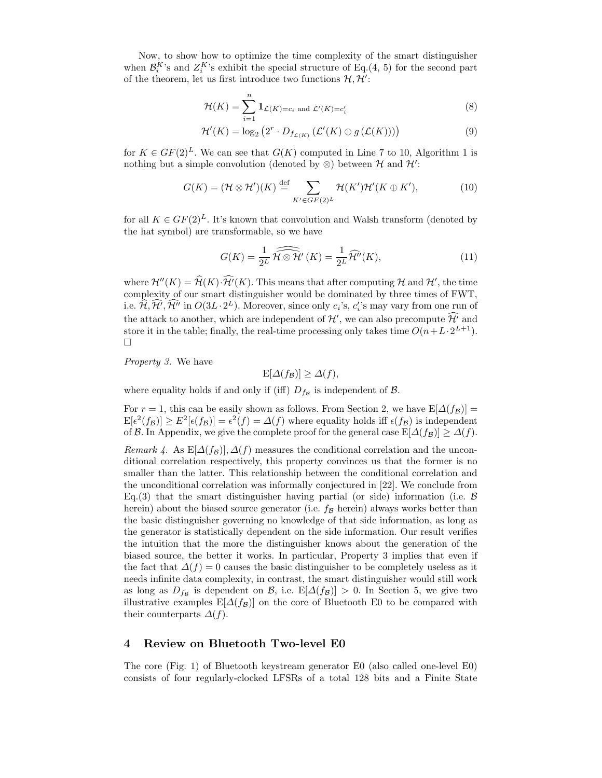Now, to show how to optimize the time complexity of the smart distinguisher when  $\mathcal{B}_i^{K}$ 's and  $Z_i^{K}$ 's exhibit the special structure of Eq.(4, 5) for the second part of the theorem, let us first introduce two functions  $\mathcal{H}, \mathcal{H}'$ :

$$
\mathcal{H}(K) = \sum_{i=1}^{n} \mathbf{1}_{\mathcal{L}(K) = c_i \text{ and } \mathcal{L}'(K) = c'_i}
$$
\n(8)

$$
\mathcal{H}'(K) = \log_2 \left( 2^r \cdot D_{f_{\mathcal{L}(K)}} \left( \mathcal{L}'(K) \oplus g \left( \mathcal{L}(K) \right) \right) \right) \tag{9}
$$

for  $K \in GF(2)^{L}$ . We can see that  $G(K)$  computed in Line 7 to 10, Algorithm 1 is nothing but a simple convolution (denoted by  $\otimes$ ) between H and H':

$$
G(K) = (\mathcal{H} \otimes \mathcal{H}')(K) \stackrel{\text{def}}{=} \sum_{K' \in GF(2)^L} \mathcal{H}(K')\mathcal{H}'(K \oplus K'),\tag{10}
$$

for all  $K \in GF(2)^{L}$ . It's known that convolution and Walsh transform (denoted by the hat symbol) are transformable, so we have

$$
G(K) = \frac{1}{2^L} \widehat{\mathcal{H} \otimes \mathcal{H}' } (K) = \frac{1}{2^L} \widehat{\mathcal{H}'' } (K), \tag{11}
$$

where  $\mathcal{H}''(K) = \mathcal{H}(K) \cdot \mathcal{H}'(K)$ . This means that after computing H and H', the time complexity of our smart distinguisher would be dominated by three times of FWT, i.e.  $\hat{\mathcal{H}}, \hat{\mathcal{H}}', \hat{\mathcal{H}}''$  in  $O(3L\cdot 2^L)$ . Moreover, since only  $c_i$ 's,  $c'_i$ 's may vary from one run of the attack to another, which are independent of  $\mathcal{H}'$ , we can also precompute  $\mathcal{H}'$  and store it in the table; finally, the real-time processing only takes time  $O(n+L\cdot 2^{L+1})$ .  $\Box$ 

Property 3. We have

$$
\mathbf{E}[\Delta(f_{\mathcal{B}})] \ge \Delta(f),
$$

where equality holds if and only if (iff)  $D_{fg}$  is independent of  $\mathcal{B}$ .

For  $r = 1$ , this can be easily shown as follows. From Section 2, we have  $E[\Delta(f_B)] =$  $\mathbb{E}[\epsilon^2(f_\mathcal{B})] \geq E^2[\epsilon(f_\mathcal{B})] = \epsilon^2(f) = \Delta(f)$  where equality holds iff  $\epsilon(f_\mathcal{B})$  is independent of B. In Appendix, we give the complete proof for the general case  $E[\Delta(f_B)] \geq \Delta(f)$ .

Remark 4. As  $E[\Delta(f_\mathcal{B})], \Delta(f)$  measures the conditional correlation and the unconditional correlation respectively, this property convinces us that the former is no smaller than the latter. This relationship between the conditional correlation and the unconditional correlation was informally conjectured in [22]. We conclude from Eq.(3) that the smart distinguisher having partial (or side) information (i.e.  $\beta$ herein) about the biased source generator (i.e.  $f_B$  herein) always works better than the basic distinguisher governing no knowledge of that side information, as long as the generator is statistically dependent on the side information. Our result verifies the intuition that the more the distinguisher knows about the generation of the biased source, the better it works. In particular, Property 3 implies that even if the fact that  $\Delta(f) = 0$  causes the basic distinguisher to be completely useless as it needs infinite data complexity, in contrast, the smart distinguisher would still work as long as  $D_{f_{\mathcal{B}}}$  is dependent on  $\mathcal{B}$ , i.e.  $E[\Delta(f_{\mathcal{B}})] > 0$ . In Section 5, we give two illustrative examples  $E[\Delta(f_{\mathcal{B}})]$  on the core of Bluetooth E0 to be compared with their counterparts  $\Delta(f)$ .

## 4 Review on Bluetooth Two-level E0

The core (Fig. 1) of Bluetooth keystream generator E0 (also called one-level E0) consists of four regularly-clocked LFSRs of a total 128 bits and a Finite State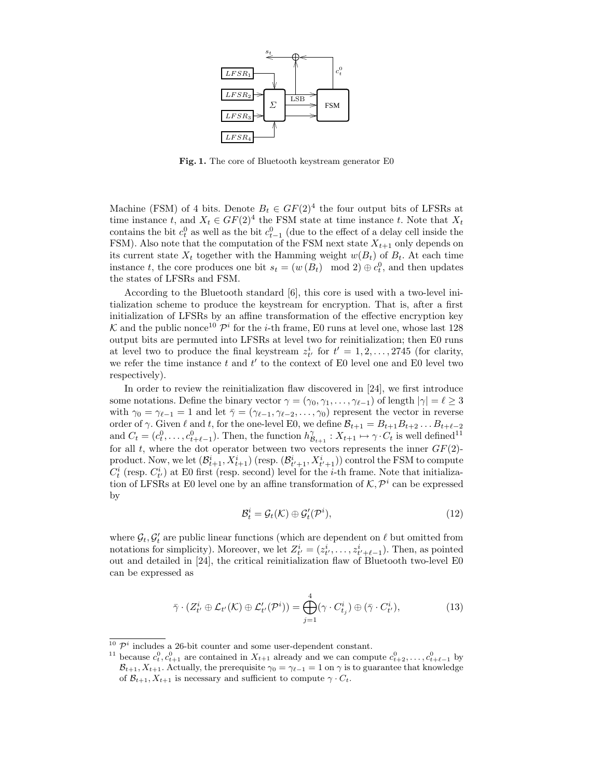

Fig. 1. The core of Bluetooth keystream generator E0

Machine (FSM) of 4 bits. Denote  $B_t \in GF(2)^4$  the four output bits of LFSRs at time instance t, and  $X_t \in GF(2)^4$  the FSM state at time instance t. Note that  $X_t$ contains the bit  $c_t^0$  as well as the bit  $c_{t-1}^0$  (due to the effect of a delay cell inside the FSM). Also note that the computation of the FSM next state  $X_{t+1}$  only depends on its current state  $X_t$  together with the Hamming weight  $w(B_t)$  of  $B_t$ . At each time instance t, the core produces one bit  $s_t = (w(B_t) \mod 2) \oplus c_t^0$ , and then updates the states of LFSRs and FSM.

According to the Bluetooth standard [6], this core is used with a two-level initialization scheme to produce the keystream for encryption. That is, after a first initialization of LFSRs by an affine transformation of the effective encryption key K and the public nonce<sup>10</sup>  $\mathcal{P}^i$  for the *i*-th frame, E0 runs at level one, whose last 128 output bits are permuted into LFSRs at level two for reinitialization; then E0 runs at level two to produce the final keystream  $z_t^i$  for  $t' = 1, 2, ..., 2745$  (for clarity, we refer the time instance  $t$  and  $t'$  to the context of E0 level one and E0 level two respectively).

In order to review the reinitialization flaw discovered in [24], we first introduce some notations. Define the binary vector  $\gamma = (\gamma_0, \gamma_1, \dots, \gamma_{\ell-1})$  of length  $|\gamma| = \ell \geq 3$ with  $\gamma_0 = \gamma_{\ell-1} = 1$  and let  $\bar{\gamma} = (\gamma_{\ell-1}, \gamma_{\ell-2}, \ldots, \gamma_0)$  represent the vector in reverse order of  $\gamma$ . Given  $\ell$  and t, for the one-level E0, we define  $B_{t+1} = B_{t+1}B_{t+2} \dots B_{t+\ell-2}$ and  $C_t = (c_t^0, \ldots, c_{t+\ell-1}^0)$ . Then, the function  $h_{\mathcal{B}_{t+1}}^{\gamma}: X_{t+1} \mapsto \gamma \cdot C_t$  is well defined<sup>11</sup> for all  $t$ , where the dot operator between two vectors represents the inner  $GF(2)$ product. Now, we let  $(\mathcal{B}_{t+1}^i, X_{t+1}^i)$  (resp.  $(\mathcal{B}_{t'+1}^i, X_{t'+1}^i)$ ) control the FSM to compute  $C_t^i$  (resp.  $C_{t'}^i$ ) at E0 first (resp. second) level for the *i*-th frame. Note that initialization of LFSRs at E0 level one by an affine transformation of  $K, \mathcal{P}^i$  can be expressed by

$$
\mathcal{B}_t^i = \mathcal{G}_t(\mathcal{K}) \oplus \mathcal{G}_t'(\mathcal{P}^i),\tag{12}
$$

where  $\mathcal{G}_t, \mathcal{G}'_t$  are public linear functions (which are dependent on  $\ell$  but omitted from notations for simplicity). Moreover, we let  $Z_{t'}^i = (z_{t'}^i, \ldots, z_{t'+\ell-1}^i)$ . Then, as pointed out and detailed in [24], the critical reinitialization flaw of Bluetooth two-level E0 can be expressed as

$$
\bar{\gamma} \cdot (Z_{t'}^i \oplus \mathcal{L}_{t'}(\mathcal{K}) \oplus \mathcal{L}'_{t'}(\mathcal{P}^i)) = \bigoplus_{j=1}^4 (\gamma \cdot C_{t_j}^i) \oplus (\bar{\gamma} \cdot C_{t'}^i), \tag{13}
$$

<sup>&</sup>lt;sup>10</sup>  $\mathcal{P}^i$  includes a 26-bit counter and some user-dependent constant.

<sup>&</sup>lt;sup>11</sup> because  $c_t^0, c_{t+1}^0$  are contained in  $X_{t+1}$  already and we can compute  $c_{t+2}^0, \ldots, c_{t+\ell-1}^0$  by  $\mathcal{B}_{t+1}, X_{t+1}$ . Actually, the prerequisite  $\gamma_0 = \gamma_{\ell-1} = 1$  on  $\gamma$  is to guarantee that knowledge of  $\mathcal{B}_{t+1}, X_{t+1}$  is necessary and sufficient to compute  $\gamma \cdot C_t$ .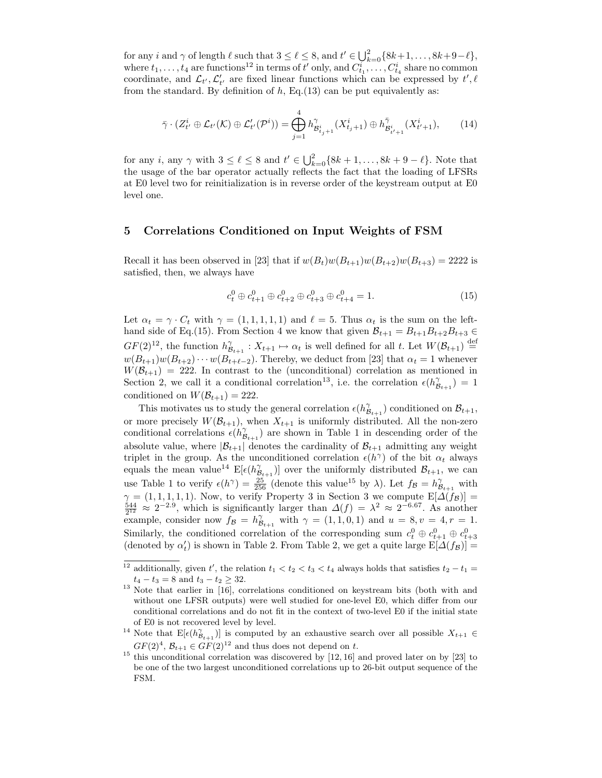for any i and  $\gamma$  of length  $\ell$  such that  $3 \leq \ell \leq 8$ , and  $t' \in \bigcup_{k=0}^{2} \{8k+1,\ldots,8k+9-\ell\},\$ where  $t_1, \ldots, t_4$  are functions<sup>12</sup> in terms of  $t'$  only, and  $C_{t_1}^i, \ldots, C_{t_4}^i$  share no common coordinate, and  $\mathcal{L}_{t'}$ ,  $\mathcal{L}'_{t'}$  are fixed linear functions which can be expressed by  $t', \ell$ from the standard. By definition of  $h$ , Eq.(13) can be put equivalently as:

$$
\bar{\gamma} \cdot (Z_{t'}^{i} \oplus \mathcal{L}_{t'}(\mathcal{K}) \oplus \mathcal{L}'_{t'}(\mathcal{P}^{i})) = \bigoplus_{j=1}^{4} h_{\mathcal{B}_{t_{j}+1}^{i}}^{\gamma}(X_{t_{j}+1}^{i}) \oplus h_{\mathcal{B}_{t'+1}^{i}}^{\bar{\gamma}}(X_{t'+1}^{i}), \qquad (14)
$$

for any *i*, any  $\gamma$  with  $3 \leq \ell \leq 8$  and  $t' \in \bigcup_{k=0}^{2} \{8k+1,\ldots,8k+9-\ell\}$ . Note that the usage of the bar operator actually reflects the fact that the loading of LFSRs at E0 level two for reinitialization is in reverse order of the keystream output at E0 level one.

### 5 Correlations Conditioned on Input Weights of FSM

Recall it has been observed in [23] that if  $w(B_t)w(B_{t+1})w(B_{t+2})w(B_{t+3}) = 2222$  is satisfied, then, we always have

$$
c_t^0 \oplus c_{t+1}^0 \oplus c_{t+2}^0 \oplus c_{t+3}^0 \oplus c_{t+4}^0 = 1.
$$
 (15)

Let  $\alpha_t = \gamma \cdot C_t$  with  $\gamma = (1, 1, 1, 1, 1)$  and  $\ell = 5$ . Thus  $\alpha_t$  is the sum on the lefthand side of Eq.(15). From Section 4 we know that given  $B_{t+1} = B_{t+1}B_{t+2}B_{t+3} \in$  $GF(2)^{12}$ , the function  $h_{\mathcal{B}_{t+1}}^{\gamma}: X_{t+1} \mapsto \alpha_t$  is well defined for all t. Let  $W(\mathcal{B}_{t+1}) \stackrel{\text{def}}{=}$  $w(B_{t+1})w(B_{t+2})\cdots w(B_{t+\ell-2})$ . Thereby, we deduct from [23] that  $\alpha_t = 1$  whenever  $W(\mathcal{B}_{t+1}) = 222$ . In contrast to the (unconditional) correlation as mentioned in Section 2, we call it a conditional correlation<sup>13</sup>, i.e. the correlation  $\epsilon(h_{\mathcal{B}_{t+1}}^{\gamma}) = 1$ conditioned on  $W(\mathcal{B}_{t+1}) = 222$ .

This motivates us to study the general correlation  $\epsilon(h_{\mathcal{B}_{t+1}}^{\gamma})$  conditioned on  $\mathcal{B}_{t+1}$ , or more precisely  $W(\mathcal{B}_{t+1})$ , when  $X_{t+1}$  is uniformly distributed. All the non-zero conditional correlations  $\epsilon(h_{\mathcal{B}_{t+1}}^{\gamma})$  are shown in Table 1 in descending order of the absolute value, where  $|\mathcal{B}_{t+1}|$  denotes the cardinality of  $\mathcal{B}_{t+1}$  admitting any weight triplet in the group. As the unconditioned correlation  $\epsilon(h^{\gamma})$  of the bit  $\alpha_t$  always equals the mean value<sup>14</sup>  $E[\epsilon(h_{\mathcal{B}_{t+1}}^{\gamma})]$  over the uniformly distributed  $\mathcal{B}_{t+1}$ , we can use Table 1 to verify  $\epsilon(h^{\gamma}) = \frac{25}{256}$  (denote this value<sup>15</sup> by  $\lambda$ ). Let  $f_{\mathcal{B}} = h^{\gamma}_{\mathcal{B}_{t+1}}$  with  $\gamma = (1, 1, 1, 1, 1)$ . Now, to verify Property 3 in Section 3 we compute  $E[\Delta(f_\mathcal{B})] =$  $\frac{544}{2^{12}} \approx 2^{-2.9}$ , which is significantly larger than  $\Delta(f) = \lambda^2 \approx 2^{-6.67}$ . As another example, consider now  $f_{\mathcal{B}} = h_{\mathcal{B}_{t+1}}^{\gamma}$  with  $\gamma = (1, 1, 0, 1)$  and  $u = 8, v = 4, r = 1$ . Similarly, the conditioned correlation of the corresponding sum  $c_t^0 \oplus c_{t+1}^0 \oplus c_{t+3}^0$ (denoted by  $\alpha'_t$ ) is shown in Table 2. From Table 2, we get a quite large  $E[\Delta(f_B)] =$ 

<sup>&</sup>lt;sup>12</sup> additionally, given t', the relation  $t_1 < t_2 < t_3 < t_4$  always holds that satisfies  $t_2 - t_1 =$  $t_4 - t_3 = 8$  and  $t_3 - t_2 \geq 32$ .

<sup>&</sup>lt;sup>13</sup> Note that earlier in [16], correlations conditioned on keystream bits (both with and without one LFSR outputs) were well studied for one-level E0, which differ from our conditional correlations and do not fit in the context of two-level E0 if the initial state of E0 is not recovered level by level.

<sup>&</sup>lt;sup>14</sup> Note that  $E[\epsilon(h_{\mathcal{B}_{t+1}}^{\gamma})]$  is computed by an exhaustive search over all possible  $X_{t+1} \in$  $GF(2)<sup>4</sup>, \mathcal{B}_{t+1} \in GF(2)<sup>12</sup>$  and thus does not depend on t.

 $15$  this unconditional correlation was discovered by [12, 16] and proved later on by [23] to be one of the two largest unconditioned correlations up to 26-bit output sequence of the FSM.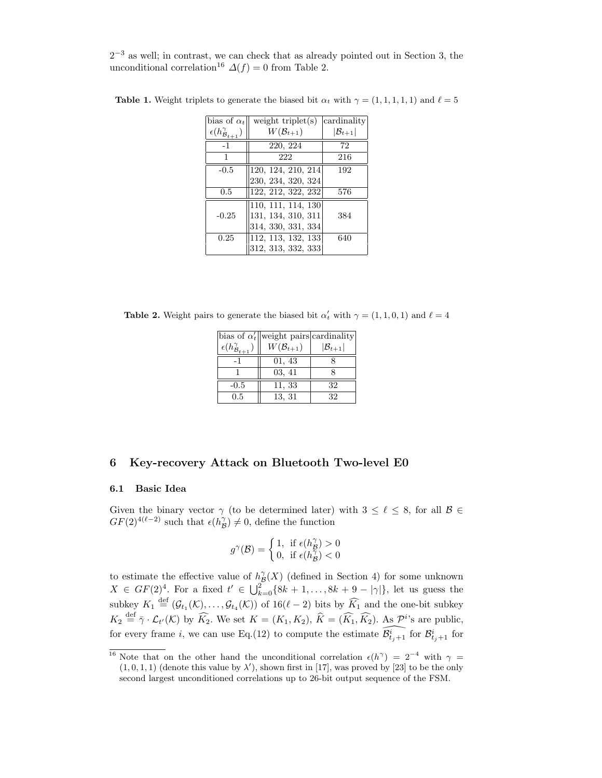$2^{-3}$  as well; in contrast, we can check that as already pointed out in Section 3, the unconditional correlation<sup>16</sup>  $\Delta(f) = 0$  from Table 2.

| bias of $\alpha_t$<br>$\epsilon(h_{\mathcal{B}_{t+1}}^{\gamma})$ | weight triplet $(s)$<br>$W(\mathcal{B}_{t+1})$                              | cardinality<br>$ \mathcal{B}_{t+1} $ |  |
|------------------------------------------------------------------|-----------------------------------------------------------------------------|--------------------------------------|--|
| $-1$                                                             | 220, 224                                                                    | 72                                   |  |
|                                                                  | 222                                                                         | 216                                  |  |
| $-0.5$                                                           | 120, 124, 210, 214                                                          | 192                                  |  |
|                                                                  | 230, 234, 320, 324                                                          |                                      |  |
| 0.5                                                              | 122, 212, 322, 232                                                          | 576                                  |  |
| $-0.25$                                                          | $\overline{110, 111, 114, 130}$<br>131, 134, 310, 311<br>314, 330, 331, 334 | 384                                  |  |
| 0.25                                                             | 112, 113, 132, 133<br>312, 313, 332, 333                                    | 640                                  |  |

**Table 1.** Weight triplets to generate the biased bit  $\alpha_t$  with  $\gamma = (1, 1, 1, 1, 1)$  and  $\ell = 5$ 

**Table 2.** Weight pairs to generate the biased bit  $\alpha'_t$  with  $\gamma = (1, 1, 0, 1)$  and  $\ell = 4$ 

| $\epsilon(h_{\mathcal{B}_{t+1}}^{\gamma})$ | bias of $\alpha'_t$ weight pairs cardinality<br>$W(\mathcal{B}_{t+1})$ | $ \mathcal{B}_{t+1} $ |
|--------------------------------------------|------------------------------------------------------------------------|-----------------------|
|                                            | 01, 43                                                                 |                       |
|                                            | 03, 41                                                                 |                       |
| $-0.5$                                     | 11, 33                                                                 | 32                    |
| 0.5                                        | 13, 31                                                                 | 32                    |

## 6 Key-recovery Attack on Bluetooth Two-level E0

#### 6.1 Basic Idea

Given the binary vector  $\gamma$  (to be determined later) with  $3 \leq \ell \leq 8$ , for all  $\mathcal{B} \in$  $GF(2)^{4(\ell-2)}$  such that  $\epsilon(h_B^{\gamma}) \neq 0$ , define the function

$$
g^\gamma(\mathcal{B}) = \left\{ \begin{matrix} 1, \text{ if } \epsilon(h^\gamma_\mathcal{B}) > 0 \\ 0, \text{ if } \epsilon(h^\gamma_\mathcal{B}) < 0 \end{matrix} \right.
$$

to estimate the effective value of  $h_R^{\gamma}(X)$  (defined in Section 4) for some unknown  $X \in GF(2)^4$ . For a fixed  $t' \in \bigcup_{k=0}^{2} \{8k+1,\ldots,8k+9-|\gamma|\}$ , let us guess the subkey  $K_1 \stackrel{\text{def}}{=} (\mathcal{G}_{t_1}(\mathcal{K}), \ldots, \mathcal{G}_{t_4}(\mathcal{K}))$  of  $16(\ell - 2)$  bits by  $\widehat{K_1}$  and the one-bit subkey  $K_2 \stackrel{\text{def}}{=} \overline{\gamma} \cdot \mathcal{L}_{t'}(\mathcal{K})$  by  $\widehat{K}_2$ . We set  $K = (K_1, K_2), \ \widehat{K} = (\widehat{K}_1, \widehat{K}_2)$ . As  $\mathcal{P}^{i}$ 's are public, for every frame *i*, we can use Eq.(12) to compute the estimate  $\widehat{\mathcal{B}}_{t_j+1}^i$  for  $\mathcal{B}_{t_j+1}^i$  for

<sup>&</sup>lt;sup>16</sup> Note that on the other hand the unconditional correlation  $\epsilon(h^{\gamma}) = 2^{-4}$  with  $\gamma =$  $(1, 0, 1, 1)$  (denote this value by  $\lambda'$ ), shown first in [17], was proved by [23] to be the only second largest unconditioned correlations up to 26-bit output sequence of the FSM.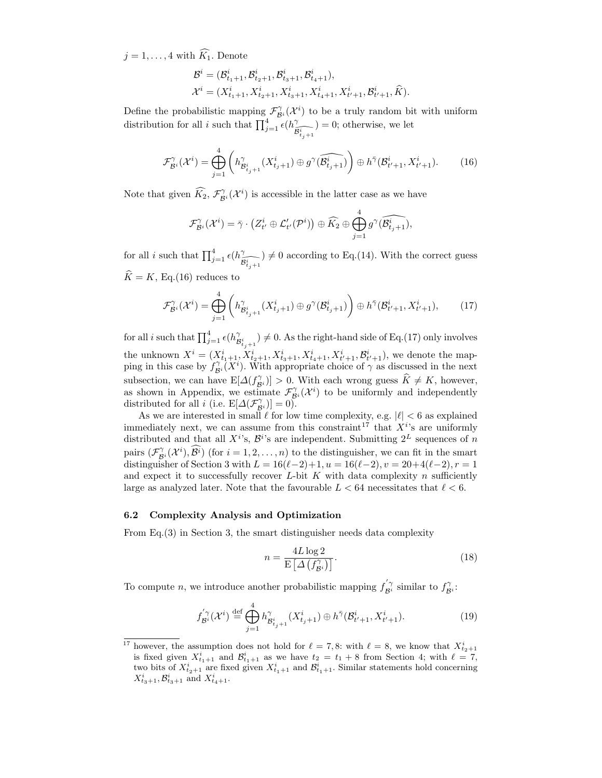$j = 1, \ldots, 4$  with  $\widehat{K}_1$ . Denote

$$
\mathcal{B}^{i} = (\mathcal{B}^{i}_{t_{1}+1}, \mathcal{B}^{i}_{t_{2}+1}, \mathcal{B}^{i}_{t_{3}+1}, \mathcal{B}^{i}_{t_{4}+1}),
$$
  

$$
\mathcal{X}^{i} = (X^{i}_{t_{1}+1}, X^{i}_{t_{2}+1}, X^{i}_{t_{3}+1}, X^{i}_{t_{4}+1}, X^{i}_{t'+1}, \mathcal{B}^{i}_{t'+1}, \widehat{K}).
$$

Define the probabilistic mapping  $\mathcal{F}_{\mathcal{B}^i}^{\gamma}(\mathcal{X}^i)$  to be a truly random bit with uniform distribution for all i such that  $\prod_{j=1}^4 \epsilon(h_{\vec{k}}^{\gamma})$  $\widehat{\mathcal{B}^i_{t_j+1}}$  $= 0$ ; otherwise, we let

$$
\mathcal{F}_{\mathcal{B}^i}^{\gamma}(\mathcal{X}^i) = \bigoplus_{j=1}^4 \left( h_{\mathcal{B}_{t_j+1}^i}^{\gamma}(X_{t_j+1}^i) \oplus g^{\gamma}(\widehat{\mathcal{B}_{t_j+1}^i}) \right) \oplus h^{\bar{\gamma}}(\mathcal{B}_{t'+1}^i, X_{t'+1}^i). \tag{16}
$$

Note that given  $\widehat{K}_2$ ,  $\mathcal{F}_{\mathcal{B}^i}^{\gamma}(\mathcal{X}^i)$  is accessible in the latter case as we have

$$
\mathcal{F}_{\mathcal{B}^i}^{\gamma}(\mathcal{X}^i) = \bar{\gamma} \cdot \left( Z_{t'}^i \oplus \mathcal{L}_{t'}'(\mathcal{P}^i) \right) \oplus \widehat{K}_2 \oplus \bigoplus_{j=1}^4 g^{\gamma}(\widehat{\mathcal{B}^i_{t_j+1}}),
$$

for all i such that  $\prod_{j=1}^4 \epsilon(h_{\vec{k}}^{\gamma})$  $\widehat{\mathcal{B}^i_{t_j+1}}$  $) \neq 0$  according to Eq.(14). With the correct guess  $\widehat{K} = K$ , Eq.(16) reduces to

$$
\mathcal{F}_{\mathcal{B}^i}^{\gamma}(\mathcal{X}^i) = \bigoplus_{j=1}^4 \left( h_{\mathcal{B}_{t_j+1}^i}^{\gamma}(X_{t_j+1}^i) \oplus g^{\gamma}(\mathcal{B}_{t_j+1}^i) \right) \oplus h^{\bar{\gamma}}(\mathcal{B}_{t'+1}^i, X_{t'+1}^i), \tag{17}
$$

for all *i* such that  $\prod_{j=1}^4 \epsilon(h_{\mathcal{B}^i_{t_j+1}}^{\gamma}) \neq 0$ . As the right-hand side of Eq.(17) only involves the unknown  $X^i = (X^i_{t_1+1}, X^i_{t_2+1}, X^i_{t_3+1}, X^i_{t_4+1}, X^i_{t'+1}, \mathcal{B}^i_{t'+1})$ , we denote the mapping in this case by  $f_{\mathcal{B}i}^{\gamma}(X^i)$ . With appropriate choice of  $\gamma$  as discussed in the next subsection, we can have  $E[\Delta(f_{\beta}^{\gamma})] > 0$ . With each wrong guess  $\widehat{K} \neq K$ , however, as shown in Appendix, we estimate  $\mathcal{F}_{\mathcal{B}}^{\gamma}(\mathcal{X}^i)$  to be uniformly and independently distributed for all *i* (i.e.  $E[\Delta(\mathcal{F}_{\mathcal{B}^i}^{\gamma})] = 0$ ).

As we are interested in small  $\ell$  for low time complexity, e.g.  $|\ell| < 6$  as explained immediately next, we can assume from this constraint<sup>17</sup> that  $X^{i}$ 's are uniformly distributed and that all  $X^{i}$ 's,  $\mathcal{B}^{i}$ 's are independent. Submitting  $2^{L}$  sequences of n pairs  $(\mathcal{F}_{\mathcal{B}^i}^{\gamma}(\mathcal{X}^i), \widehat{\mathcal{B}^i})$  (for  $i = 1, 2, ..., n$ ) to the distinguisher, we can fit in the smart distinguisher of Section 3 with  $L = 16(\ell-2)+1, u = 16(\ell-2), v = 20+4(\ell-2), r = 1$ and expect it to successfully recover  $L$ -bit  $K$  with data complexity  $n$  sufficiently large as analyzed later. Note that the favourable  $L < 64$  necessitates that  $\ell < 6$ .

#### 6.2 Complexity Analysis and Optimization

From Eq.(3) in Section 3, the smart distinguisher needs data complexity

$$
n = \frac{4L\log 2}{\mathbb{E}\left[\Delta\left(f_{\mathcal{B}^i}^{\gamma}\right)\right]}.\tag{18}
$$

To compute *n*, we introduce another probabilistic mapping  $f_{\mathcal{B}i}^{'\gamma}$  similar to  $f_{\mathcal{B}i}^{\gamma}$ .

$$
f_{\mathcal{B}^{i}}^{'\gamma}(\mathcal{X}^{i}) \stackrel{\text{def}}{=} \bigoplus_{j=1}^{4} h_{\mathcal{B}^{i}_{t_{j}+1}}^{\gamma}(X^{i}_{t_{j}+1}) \oplus h^{\bar{\gamma}}(\mathcal{B}^{i}_{t'+1}, X^{i}_{t'+1}). \tag{19}
$$

<sup>&</sup>lt;sup>17</sup> however, the assumption does not hold for  $\ell = 7, 8$ : with  $\ell = 8$ , we know that  $X_{t_2+1}^i$ is fixed given  $X_{t_1+1}^i$  and  $\mathcal{B}_{t_1+1}^i$  as we have  $t_2 = t_1 + 8$  from Section 4; with  $\ell = 7$ , two bits of  $X_{t_2+1}^i$  are fixed given  $X_{t_1+1}^i$  and  $\mathcal{B}_{t_1+1}^i$ . Similar statements hold concerning  $X_{t_3+1}^i, \mathcal{B}_{t_3+1}^i$  and  $X_{t_4+1}^i$ .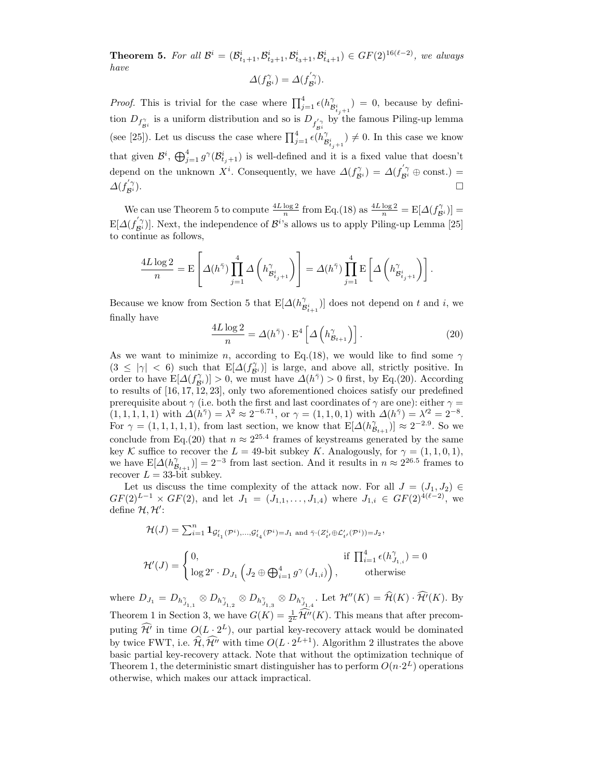**Theorem 5.** For all  $\mathcal{B}^i = (\mathcal{B}^i_{t_1+1}, \mathcal{B}^i_{t_2+1}, \mathcal{B}^i_{t_3+1}, \mathcal{B}^i_{t_4+1}) \in GF(2)^{16(\ell-2)}$ , we always have  $'$ γ

$$
\Delta(f_{\mathcal{B}^i}^{\gamma}) = \Delta(f_{\mathcal{B}^i}^{'\gamma}).
$$

*Proof.* This is trivial for the case where  $\prod_{j=1}^{4} \epsilon(h_{\mathcal{B}^i_{t_{j+1}}}) = 0$ , because by definition  $D_{f_{\mathcal{B}^i}^{\gamma}}$  is a uniform distribution and so is  $D_{f_{\mathcal{B}^i}^{\gamma}}$  by the famous Piling-up lemma (see [25]). Let us discuss the case where  $\prod_{j=1}^{4} \epsilon(h_{\mathcal{B}_{t_j+1}^i}^{\gamma}) \neq 0$ . In this case we know that given  $\mathcal{B}^i$ ,  $\bigoplus_{j=1}^4 g^{\gamma}(\mathcal{B}^i_{t_j+1})$  is well-defined and it is a fixed value that doesn't depend on the unknown  $X^i$ . Consequently, we have  $\Delta(f_{\mathcal{B}^i}^{\gamma}) = \Delta(f_{\mathcal{B}^i}^{'\gamma} \oplus \text{const.}) =$  $\varDelta(f_{\boldsymbol{\kappa}i}^{'\gamma}% )=\varphi_{\boldsymbol{\kappa}i}^{'\varphi_{\boldsymbol{\kappa}i}^{'}}$  $\mathbb{B}^{(1)}$ .

We can use Theorem 5 to compute  $\frac{4L\log 2}{n}$  from Eq.(18) as  $\frac{4L\log 2}{n} = E[\Delta(f_{\mathcal{B}^i}^{\gamma})]$  =  $\mathbb{E}[\Delta(f_{\mathcal{B}^i}^{'\gamma})]$ . Next, the independence of  $\mathcal{B}^i$ 's allows us to apply Piling-up Lemma [25] to continue as follows,

$$
\frac{4L\log 2}{n} = \mathbf{E}\left[\varDelta(h^{\bar{\gamma}})\prod_{j=1}^4\varDelta\left(h^{\gamma}_{\mathcal{B}^i_{t_j+1}}\right)\right] = \varDelta(h^{\bar{\gamma}})\prod_{j=1}^4\mathbf{E}\left[\varDelta\left(h^{\gamma}_{\mathcal{B}^i_{t_j+1}}\right)\right].
$$

Because we know from Section 5 that  $\mathbb{E}[\Delta(h_{\mathcal{B}_{t+1}^i}^{\gamma})]$  does not depend on t and i, we finally have

$$
\frac{4L\log 2}{n} = \Delta(h^{\bar{\gamma}}) \cdot \mathbf{E}^4 \left[ \Delta \left( h^{\gamma}_{\mathcal{B}_{t+1}} \right) \right]. \tag{20}
$$

As we want to minimize n, according to Eq.(18), we would like to find some  $\gamma$  $(3 \leq |\gamma| < 6)$  such that  $E[\Delta(f_{\beta_i}^{\gamma})]$  is large, and above all, strictly positive. In order to have  $E[\Delta(f_{\beta}^{\gamma})] > 0$ , we must have  $\Delta(h^{\bar{\gamma}}) > 0$  first, by Eq.(20). According to results of [16, 17, 12, 23], only two aforementioned choices satisfy our predefined prerequisite about  $\gamma$  (i.e. both the first and last coordinates of  $\gamma$  are one): either  $\gamma =$  $(1,1,1,1,1)$  with  $\Delta(h^{\bar{\gamma}}) = \lambda^2 \approx 2^{-6.71}$ , or  $\gamma = (1,1,0,1)$  with  $\Delta(h^{\bar{\gamma}}) = \lambda'^2 = 2^{-8}$ . For  $\gamma = (1, 1, 1, 1, 1)$ , from last section, we know that  $E[\Delta(h_{\mathcal{B}_{t+1}}^{\gamma})] \approx 2^{-2.9}$ . So we conclude from Eq.(20) that  $n \approx 2^{25.4}$  frames of keystreams generated by the same key K suffice to recover the  $L = 49$ -bit subkey K. Analogously, for  $\gamma = (1, 1, 0, 1)$ , we have  $E[\Delta(h_{\mathcal{B}_{t+1}}^{\gamma})] = 2^{-3}$  from last section. And it results in  $n \approx 2^{26.5}$  frames to recover  $L = 33$ -bit subkey.

Let us discuss the time complexity of the attack now. For all  $J = (J_1, J_2) \in$  $GF(2)^{L-1} \times GF(2)$ , and let  $J_1 = (J_{1,1}, \ldots, J_{1,4})$  where  $J_{1,i} \in GF(2)^{4(\ell-2)}$ , we define  $\mathcal{H}, \mathcal{H}'$ :

$$
\begin{aligned} \mathcal{H}(J)&=\sum_{i=1}^n\mathbf{1}_{\mathcal{G}_{t_1}'(\mathcal{P}^i),..., \mathcal{G}_{t_4}'(\mathcal{P}^i)=J_1 \text{ and } \bar{\gamma}\cdot(Z_{t'}^i\oplus \mathcal{L}_{t'}'(\mathcal{P}^i))=J_2},\\ \mathcal{H}'(J)&=\left\{\begin{aligned} &0, &\text{if}\;\;\prod_{i=1}^4\epsilon(h_{J_{1,i}}^\gamma)=0\\ &\log 2^r\cdot D_{J_1}\left(J_2\oplus\bigoplus_{i=1}^4g^\gamma\left(J_{1,i}\right)\right), &\text{otherwise}\end{aligned}\right. \end{aligned}
$$

where  $D_{J_1} = D_{h_{J_{1,1}}^{\gamma}} \otimes D_{h_{J_{1,2}}^{\gamma}} \otimes D_{h_{J_{1,3}}^{\gamma}} \otimes D_{h_{J_{1,4}}^{\gamma}}$ . Let  $\mathcal{H}''(K) = \mathcal{H}(K) \cdot \mathcal{H}^{j}(K)$ . By Theorem 1 in Section 3, we have  $G(K) = \frac{1}{2^L} \widehat{\mathcal{H}}''(K)$ . This means that after precomputing  $\mathcal{H}$  in time  $O(L \cdot 2^L)$ , our partial key-recovery attack would be dominated by twice FWT, i.e.  $\hat{\mathcal{H}}, \hat{\mathcal{H}}''$  with time  $O(L \cdot 2^{L+1})$ . Algorithm 2 illustrates the above basic partial key-recovery attack. Note that without the optimization technique of Theorem 1, the deterministic smart distinguisher has to perform  $O(n \cdot 2^L)$  operations otherwise, which makes our attack impractical.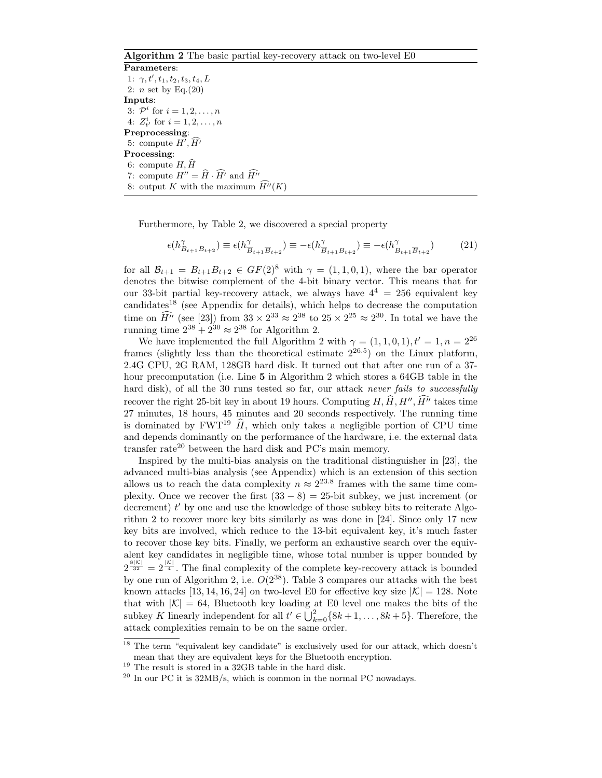#### Algorithm 2 The basic partial key-recovery attack on two-level E0

Parameters: 1:  $\gamma, t', t_1, t_2, t_3, t_4, L$ 2:  $n$  set by Eq. $(20)$ Inputs: 3:  $\mathcal{P}^i$  for  $i=1,2,\ldots,n$ 4:  $Z_{t'}^{i}$  for  $i = 1, 2, ..., n$ Preprocessing: 5: compute  $H', \widehat{H'}$ Processing: 6: compute  $H, \widehat{H}$ 7: compute  $H'' = \hat{H} \cdot \hat{H'}$  and  $\hat{H''}$ 8: output K with the maximum  $\widehat{H}^{\prime\prime}(K)$ 

Furthermore, by Table 2, we discovered a special property

$$
\epsilon(h_{B_{t+1}B_{t+2}}^{\gamma}) \equiv \epsilon(h_{\overline{B}_{t+1}\overline{B}_{t+2}}^{\gamma}) \equiv -\epsilon(h_{\overline{B}_{t+1}B_{t+2}}^{\gamma}) \equiv -\epsilon(h_{B_{t+1}\overline{B}_{t+2}}^{\gamma})
$$
(21)

for all  $\mathcal{B}_{t+1} = B_{t+1}B_{t+2} \in GF(2)^8$  with  $\gamma = (1, 1, 0, 1)$ , where the bar operator denotes the bitwise complement of the 4-bit binary vector. This means that for our 33-bit partial key-recovery attack, we always have  $4^4 = 256$  equivalent key candidates<sup>18</sup> (see Appendix for details), which helps to decrease the computation time on  $\widehat{H}''$  (see [23]) from  $33 \times 2^{33} \approx 2^{38}$  to  $25 \times 2^{25} \approx 2^{30}$ . In total we have the running time  $2^{38} + 2^{30} \approx 2^{38}$  for Algorithm 2.

We have implemented the full Algorithm 2 with  $\gamma = (1, 1, 0, 1), t' = 1, n = 2^{26}$ frames (slightly less than the theoretical estimate  $2^{26.5}$ ) on the Linux platform, 2.4G CPU, 2G RAM, 128GB hard disk. It turned out that after one run of a 37 hour precomputation (i.e. Line 5 in Algorithm 2 which stores a 64GB table in the hard disk), of all the 30 runs tested so far, our attack never fails to successfully recover the right 25-bit key in about 19 hours. Computing  $H, \hat{H}, H'', \hat{H''}$  takes time 27 minutes, 18 hours, 45 minutes and 20 seconds respectively. The running time is dominated by FWT<sup>19</sup>  $\hat{H}$ , which only takes a negligible portion of CPU time and depends dominantly on the performance of the hardware, i.e. the external data transfer rate<sup>20</sup> between the hard disk and PC's main memory.

Inspired by the multi-bias analysis on the traditional distinguisher in [23], the advanced multi-bias analysis (see Appendix) which is an extension of this section allows us to reach the data complexity  $n \approx 2^{23.8}$  frames with the same time complexity. Once we recover the first  $(33 - 8) = 25$ -bit subkey, we just increment (or decrement)  $t'$  by one and use the knowledge of those subkey bits to reiterate Algorithm 2 to recover more key bits similarly as was done in [24]. Since only 17 new key bits are involved, which reduce to the 13-bit equivalent key, it's much faster to recover those key bits. Finally, we perform an exhaustive search over the equivalent key candidates in negligible time, whose total number is upper bounded by  $2^{\frac{8|\mathcal{K}|}{32}} = 2^{\frac{|\mathcal{K}|}{4}}$ . The final complexity of the complete key-recovery attack is bounded by one run of Algorithm 2, i.e.  $O(2^{38})$ . Table 3 compares our attacks with the best known attacks [13, 14, 16, 24] on two-level E0 for effective key size  $|\mathcal{K}| = 128$ . Note that with  $|K| = 64$ , Bluetooth key loading at E0 level one makes the bits of the subkey K linearly independent for all  $t' \in \bigcup_{k=0}^{2} \{8k+1,\ldots,8k+5\}$ . Therefore, the attack complexities remain to be on the same order.

<sup>&</sup>lt;sup>18</sup> The term "equivalent key candidate" is exclusively used for our attack, which doesn't mean that they are equivalent keys for the Bluetooth encryption.

 $^{19}$  The result is stored in a 32GB table in the hard disk.

 $^{20}$  In our PC it is 32MB/s, which is common in the normal PC nowadays.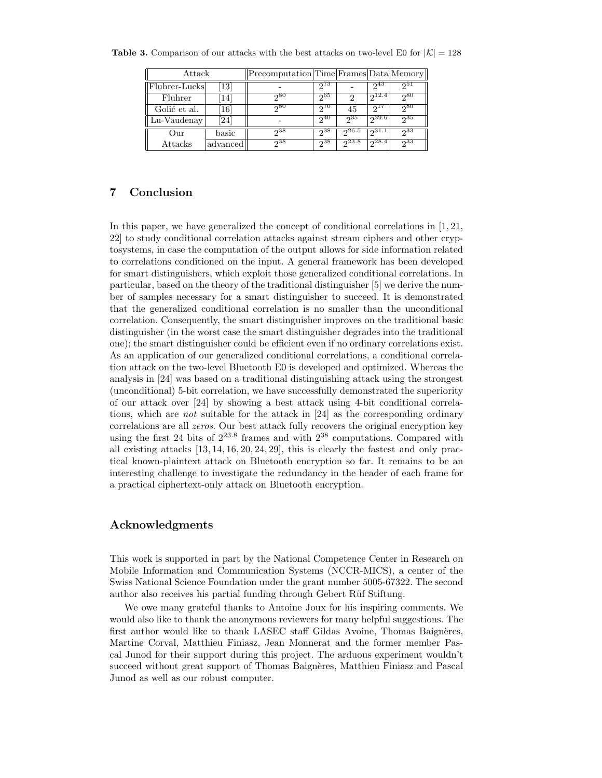| Attack        |                   | Precomputation Time Frames Data Memory |          |            |            |          |
|---------------|-------------------|----------------------------------------|----------|------------|------------|----------|
| Fluhrer-Lucks | $\left 13\right $ |                                        | റ73      |            | $2^{43}$   | $2^{51}$ |
| Fluhrer       | 14                | 280                                    | ე65      |            | $2^{12.4}$ | റ80      |
| Golić et al.  | 16                | 280                                    | 0.70     | 45         | $2^{17}$   | റ80      |
| Lu-Vaudenay   | [24]              |                                        | $2^{40}$ | 235        | $2^{39.6}$ | 235      |
| $_{\rm Our}$  | basic             | 238                                    | റ38      | 0.26.5     | 231.1      | 233      |
| Attacks       | advanced          | $2^{38}$                               | $2^{38}$ | $2^{23.8}$ | $2^{28.4}$ | ე33      |

**Table 3.** Comparison of our attacks with the best attacks on two-level E0 for  $|\mathcal{K}| = 128$ 

## 7 Conclusion

In this paper, we have generalized the concept of conditional correlations in [1, 21, 22] to study conditional correlation attacks against stream ciphers and other cryptosystems, in case the computation of the output allows for side information related to correlations conditioned on the input. A general framework has been developed for smart distinguishers, which exploit those generalized conditional correlations. In particular, based on the theory of the traditional distinguisher [5] we derive the number of samples necessary for a smart distinguisher to succeed. It is demonstrated that the generalized conditional correlation is no smaller than the unconditional correlation. Consequently, the smart distinguisher improves on the traditional basic distinguisher (in the worst case the smart distinguisher degrades into the traditional one); the smart distinguisher could be efficient even if no ordinary correlations exist. As an application of our generalized conditional correlations, a conditional correlation attack on the two-level Bluetooth E0 is developed and optimized. Whereas the analysis in [24] was based on a traditional distinguishing attack using the strongest (unconditional) 5-bit correlation, we have successfully demonstrated the superiority of our attack over [24] by showing a best attack using 4-bit conditional correlations, which are not suitable for the attack in [24] as the corresponding ordinary correlations are all zeros. Our best attack fully recovers the original encryption key using the first 24 bits of  $2^{23.8}$  frames and with  $2^{38}$  computations. Compared with all existing attacks [13, 14, 16, 20, 24, 29], this is clearly the fastest and only practical known-plaintext attack on Bluetooth encryption so far. It remains to be an interesting challenge to investigate the redundancy in the header of each frame for a practical ciphertext-only attack on Bluetooth encryption.

## Acknowledgments

This work is supported in part by the National Competence Center in Research on Mobile Information and Communication Systems (NCCR-MICS), a center of the Swiss National Science Foundation under the grant number 5005-67322. The second author also receives his partial funding through Gebert Rüf Stiftung.

We owe many grateful thanks to Antoine Joux for his inspiring comments. We would also like to thank the anonymous reviewers for many helpful suggestions. The first author would like to thank LASEC staff Gildas Avoine, Thomas Baignères, Martine Corval, Matthieu Finiasz, Jean Monnerat and the former member Pascal Junod for their support during this project. The arduous experiment wouldn't succeed without great support of Thomas Baignères, Matthieu Finiasz and Pascal Junod as well as our robust computer.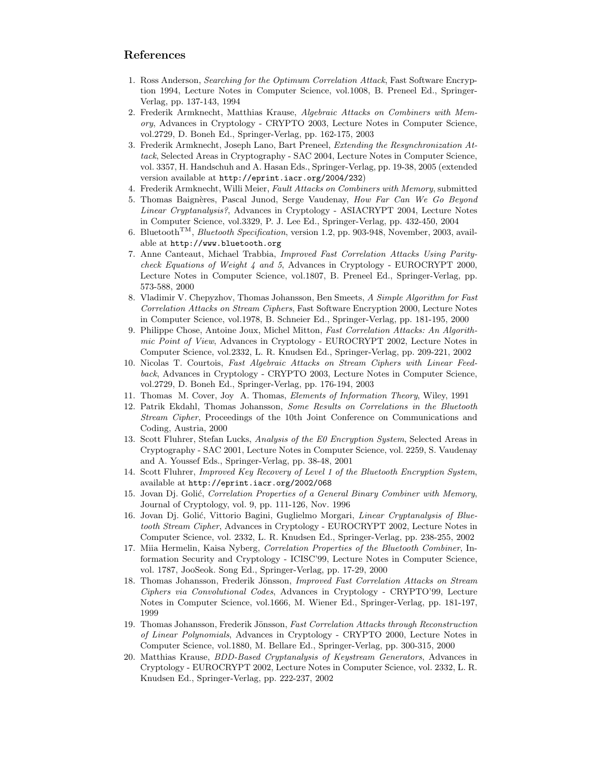## References

- 1. Ross Anderson, Searching for the Optimum Correlation Attack, Fast Software Encryption 1994, Lecture Notes in Computer Science, vol.1008, B. Preneel Ed., Springer-Verlag, pp. 137-143, 1994
- 2. Frederik Armknecht, Matthias Krause, Algebraic Attacks on Combiners with Memory, Advances in Cryptology - CRYPTO 2003, Lecture Notes in Computer Science, vol.2729, D. Boneh Ed., Springer-Verlag, pp. 162-175, 2003
- 3. Frederik Armknecht, Joseph Lano, Bart Preneel, Extending the Resynchronization Attack, Selected Areas in Cryptography - SAC 2004, Lecture Notes in Computer Science, vol. 3357, H. Handschuh and A. Hasan Eds., Springer-Verlag, pp. 19-38, 2005 (extended version available at http://eprint.iacr.org/2004/232)
- 4. Frederik Armknecht, Willi Meier, Fault Attacks on Combiners with Memory, submitted
- 5. Thomas Baignères, Pascal Junod, Serge Vaudenay, How Far Can We Go Beyond Linear Cryptanalysis?, Advances in Cryptology - ASIACRYPT 2004, Lecture Notes in Computer Science, vol.3329, P. J. Lee Ed., Springer-Verlag, pp. 432-450, 2004
- 6. Bluetooth<sup>TM</sup>, *Bluetooth Specification*, version 1.2, pp. 903-948, November, 2003, available at http://www.bluetooth.org
- 7. Anne Canteaut, Michael Trabbia, Improved Fast Correlation Attacks Using Paritycheck Equations of Weight 4 and 5, Advances in Cryptology - EUROCRYPT 2000, Lecture Notes in Computer Science, vol.1807, B. Preneel Ed., Springer-Verlag, pp. 573-588, 2000
- 8. Vladimir V. Chepyzhov, Thomas Johansson, Ben Smeets, A Simple Algorithm for Fast Correlation Attacks on Stream Ciphers, Fast Software Encryption 2000, Lecture Notes in Computer Science, vol.1978, B. Schneier Ed., Springer-Verlag, pp. 181-195, 2000
- 9. Philippe Chose, Antoine Joux, Michel Mitton, Fast Correlation Attacks: An Algorithmic Point of View, Advances in Cryptology - EUROCRYPT 2002, Lecture Notes in Computer Science, vol.2332, L. R. Knudsen Ed., Springer-Verlag, pp. 209-221, 2002
- 10. Nicolas T. Courtois, Fast Algebraic Attacks on Stream Ciphers with Linear Feedback, Advances in Cryptology - CRYPTO 2003, Lecture Notes in Computer Science, vol.2729, D. Boneh Ed., Springer-Verlag, pp. 176-194, 2003
- 11. Thomas M. Cover, Joy A. Thomas, Elements of Information Theory, Wiley, 1991
- 12. Patrik Ekdahl, Thomas Johansson, Some Results on Correlations in the Bluetooth Stream Cipher, Proceedings of the 10th Joint Conference on Communications and Coding, Austria, 2000
- 13. Scott Fluhrer, Stefan Lucks, Analysis of the E0 Encryption System, Selected Areas in Cryptography - SAC 2001, Lecture Notes in Computer Science, vol. 2259, S. Vaudenay and A. Youssef Eds., Springer-Verlag, pp. 38-48, 2001
- 14. Scott Fluhrer, Improved Key Recovery of Level 1 of the Bluetooth Encryption System, available at http://eprint.iacr.org/2002/068
- 15. Jovan Dj. Golić, Correlation Properties of a General Binary Combiner with Memory, Journal of Cryptology, vol. 9, pp. 111-126, Nov. 1996
- 16. Jovan Dj. Golić, Vittorio Bagini, Guglielmo Morgari, Linear Cryptanalysis of Bluetooth Stream Cipher, Advances in Cryptology - EUROCRYPT 2002, Lecture Notes in Computer Science, vol. 2332, L. R. Knudsen Ed., Springer-Verlag, pp. 238-255, 2002
- 17. Miia Hermelin, Kaisa Nyberg, Correlation Properties of the Bluetooth Combiner, Information Security and Cryptology - ICISC'99, Lecture Notes in Computer Science, vol. 1787, JooSeok. Song Ed., Springer-Verlag, pp. 17-29, 2000
- 18. Thomas Johansson, Frederik Jönsson, Improved Fast Correlation Attacks on Stream Ciphers via Convolutional Codes, Advances in Cryptology - CRYPTO'99, Lecture Notes in Computer Science, vol.1666, M. Wiener Ed., Springer-Verlag, pp. 181-197, 1999
- 19. Thomas Johansson, Frederik Jönsson, Fast Correlation Attacks through Reconstruction of Linear Polynomials, Advances in Cryptology - CRYPTO 2000, Lecture Notes in Computer Science, vol.1880, M. Bellare Ed., Springer-Verlag, pp. 300-315, 2000
- 20. Matthias Krause, BDD-Based Cryptanalysis of Keystream Generators, Advances in Cryptology - EUROCRYPT 2002, Lecture Notes in Computer Science, vol. 2332, L. R. Knudsen Ed., Springer-Verlag, pp. 222-237, 2002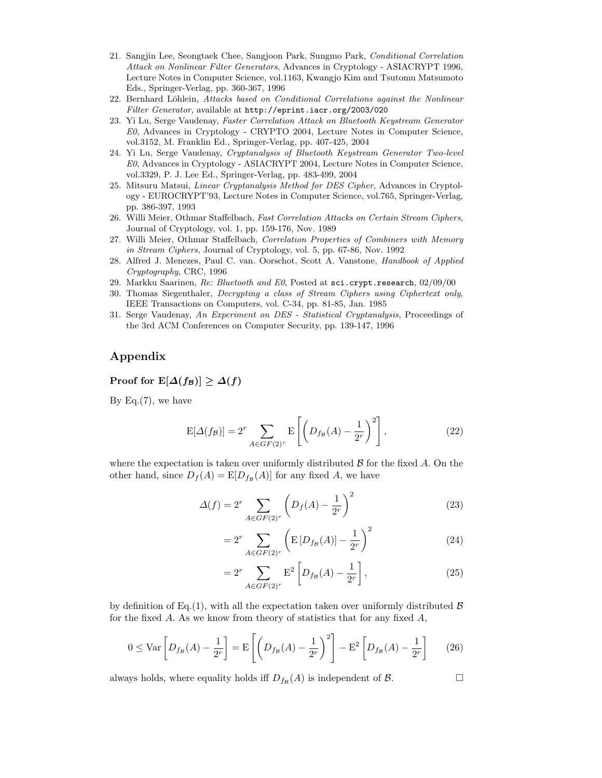- 21. Sangjin Lee, Seongtaek Chee, Sangjoon Park, Sungmo Park, Conditional Correlation Attack on Nonlinear Filter Generators, Advances in Cryptology - ASIACRYPT 1996, Lecture Notes in Computer Science, vol.1163, Kwangjo Kim and Tsutomu Matsumoto Eds., Springer-Verlag, pp. 360-367, 1996
- 22. Bernhard Löhlein, Attacks based on Conditional Correlations against the Nonlinear Filter Generator, available at http://eprint.iacr.org/2003/020
- 23. Yi Lu, Serge Vaudenay, Faster Correlation Attack on Bluetooth Keystream Generator E0, Advances in Cryptology - CRYPTO 2004, Lecture Notes in Computer Science, vol.3152, M. Franklin Ed., Springer-Verlag, pp. 407-425, 2004
- 24. Yi Lu, Serge Vaudenay, Cryptanalysis of Bluetooth Keystream Generator Two-level E0, Advances in Cryptology - ASIACRYPT 2004, Lecture Notes in Computer Science, vol.3329, P. J. Lee Ed., Springer-Verlag, pp. 483-499, 2004
- 25. Mitsuru Matsui, Linear Cryptanalysis Method for DES Cipher, Advances in Cryptology - EUROCRYPT'93, Lecture Notes in Computer Science, vol.765, Springer-Verlag, pp. 386-397, 1993
- 26. Willi Meier, Othmar Staffelbach, Fast Correlation Attacks on Certain Stream Ciphers, Journal of Cryptology, vol. 1, pp. 159-176, Nov. 1989
- 27. Willi Meier, Othmar Staffelbach, Correlation Properties of Combiners with Memory in Stream Ciphers, Journal of Cryptology, vol. 5, pp. 67-86, Nov. 1992
- 28. Alfred J. Menezes, Paul C. van. Oorschot, Scott A. Vanstone, Handbook of Applied Cryptography, CRC, 1996
- 29. Markku Saarinen, Re: Bluetooth and E0, Posted at sci.crypt.research, 02/09/00
- 30. Thomas Siegenthaler, Decrypting a class of Stream Ciphers using Ciphertext only, IEEE Transactions on Computers, vol. C-34, pp. 81-85, Jan. 1985
- 31. Serge Vaudenay, An Experiment on DES Statistical Cryptanalysis, Proceedings of the 3rd ACM Conferences on Computer Security, pp. 139-147, 1996

## Appendix

Proof for  $\mathbb{E}[\Delta(f_{\mathcal{B}})] \geq \Delta(f)$ 

By Eq. $(7)$ , we have

$$
E[\Delta(f_{\mathcal{B}})] = 2^r \sum_{A \in GF(2)^r} E\left[\left(D_{f_{\mathcal{B}}}(A) - \frac{1}{2^r}\right)^2\right],\tag{22}
$$

where the expectation is taken over uniformly distributed  $\beta$  for the fixed  $\Lambda$ . On the other hand, since  $D_f(A) = E[D_{fg}(A)]$  for any fixed A, we have

$$
\Delta(f) = 2^r \sum_{A \in GF(2)^r} \left( D_f(A) - \frac{1}{2^r} \right)^2 \tag{23}
$$

$$
=2^{r}\sum_{A\in GF(2)^{r}}\left(E\left[D_{fs}(A)\right]-\frac{1}{2^{r}}\right)^{2}
$$
\n(24)

$$
=2^{r} \sum_{A \in GF(2)^{r}} \mathbf{E}^{2} \left[ D_{fg}(A) - \frac{1}{2^{r}} \right],
$$
\n(25)

by definition of Eq.(1), with all the expectation taken over uniformly distributed  $\beta$ for the fixed  $A$ . As we know from theory of statistics that for any fixed  $A$ ,

$$
0 \le \text{Var}\left[D_{fs}(A) - \frac{1}{2^r}\right] = \mathcal{E}\left[\left(D_{fs}(A) - \frac{1}{2^r}\right)^2\right] - \mathcal{E}^2\left[D_{fs}(A) - \frac{1}{2^r}\right] \tag{26}
$$

always holds, where equality holds iff  $D_{f\mathcal{B}}(A)$  is independent of  $\mathcal{B}$ .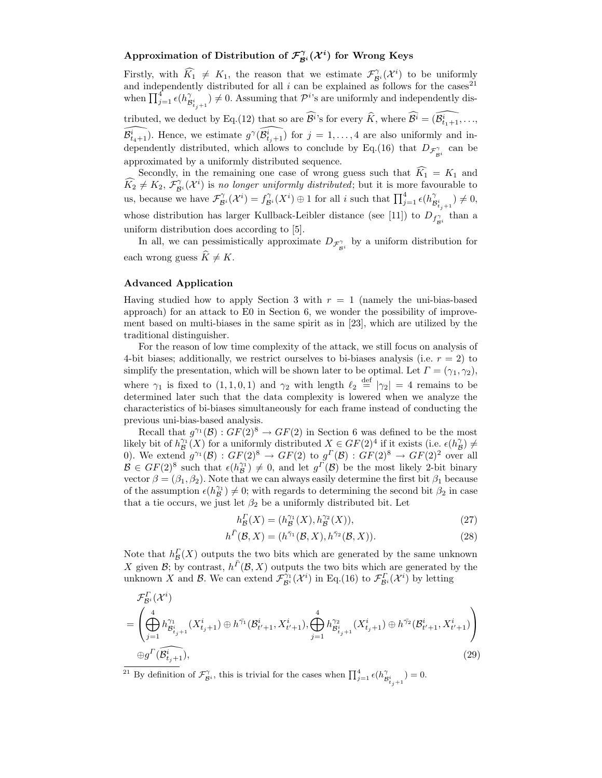# Approximation of Distribution of  $\mathcal{F}_{\mathcal{B}^i}^{\gamma}(\mathcal{X}^i)$  for Wrong Keys

Firstly, with  $\widehat{K}_1 \neq K_1$ , the reason that we estimate  $\mathcal{F}_{\mathcal{B}}^{\gamma}(\mathcal{X}^i)$  to be uniformly and independently distributed for all  $i$  can be explained as follows for the cases<sup>21</sup> when  $\prod_{j=1}^4 \epsilon(h_{\mathcal{B}_{t_{j+1}}^i}^{\gamma}) \neq 0$ . Assuming that  $\mathcal{P}^{i}$ 's are uniformly and independently distributed, we deduct by Eq.(12) that so are  $\widehat{\mathcal{B}}^i$ 's for every  $\widehat{K}$ , where  $\widehat{\mathcal{B}}^i = (\widehat{\mathcal{B}}^i_{t_1+1}, \ldots,$  $\widehat{\mathcal{B}}_{t_4+1}^i$ ). Hence, we estimate  $g^{\gamma}(\widehat{\mathcal{B}}_{t_j+1}^i)$  for  $j = 1, ..., 4$  are also uniformly and independently distributed, which allows to conclude by Eq.(16) that  $D_{\mathcal{F}_{\mathcal{B}^i}^{\gamma}}$  can be approximated by a uniformly distributed sequence.

Secondly, in the remaining one case of wrong guess such that  $\widehat{K}_1 = K_1$  and  $\widehat{K_2} \neq K_2$ ,  $\mathcal{F}_{\mathcal{B}^i}^{\gamma}(\mathcal{X}^i)$  is no longer uniformly distributed; but it is more favourable to us, because we have  $\mathcal{F}_{\mathcal{B}^i}^{\gamma}(\mathcal{X}^i) = f_{\mathcal{B}^i}^{\gamma}(X^i) \oplus 1$  for all i such that  $\prod_{j=1}^4 \epsilon(h_{\mathcal{B}_{t_j+1}^i}^{\gamma}) \neq 0$ , whose distribution has larger Kullback-Leibler distance (see [11]) to  $D_{f^{\gamma}_{\mathcal{B}^i}}$  than a uniform distribution does according to [5].

In all, we can pessimistically approximate  $D_{\mathcal{F}_{\mathcal{B}^i}^{\gamma}}$  by a uniform distribution for each wrong guess  $\widehat{K} \neq K$ .

#### Advanced Application

Γ

Having studied how to apply Section 3 with  $r = 1$  (namely the uni-bias-based approach) for an attack to E0 in Section 6, we wonder the possibility of improvement based on multi-biases in the same spirit as in [23], which are utilized by the traditional distinguisher.

For the reason of low time complexity of the attack, we still focus on analysis of 4-bit biases; additionally, we restrict ourselves to bi-biases analysis (i.e.  $r = 2$ ) to simplify the presentation, which will be shown later to be optimal. Let  $\Gamma = (\gamma_1, \gamma_2)$ , where  $\gamma_1$  is fixed to  $(1,1,0,1)$  and  $\gamma_2$  with length  $\ell_2 \stackrel{\text{def}}{=} |\gamma_2| = 4$  remains to be determined later such that the data complexity is lowered when we analyze the characteristics of bi-biases simultaneously for each frame instead of conducting the previous uni-bias-based analysis.

Recall that  $g^{\gamma_1}(\mathcal{B}) : GF(2)^8 \to GF(2)$  in Section 6 was defined to be the most likely bit of  $h_B^{\gamma_1}(X)$  for a uniformly distributed  $X \in GF(2)^4$  if it exists (i.e.  $\epsilon(h_B^{\gamma}) \neq$ 0). We extend  $g^{\gamma_1}(\mathcal{B})$  :  $GF(2)^8 \to GF(2)$  to  $g^{\Gamma}(\mathcal{B})$  :  $GF(2)^8 \to GF(2)^2$  over all  $\mathcal{B} \in GF(2)^8$  such that  $\epsilon(h_{\mathcal{B}}^{\gamma_1}) \neq 0$ , and let  $g^{\Gamma}(\mathcal{B})$  be the most likely 2-bit binary vector  $\beta = (\beta_1, \beta_2)$ . Note that we can always easily determine the first bit  $\beta_1$  because of the assumption  $\epsilon(h_{\beta}^{\gamma_1}) \neq 0$ ; with regards to determining the second bit  $\beta_2$  in case that a tie occurs, we just let  $\beta_2$  be a uniformly distributed bit. Let

$$
h_{\mathcal{B}}^{\Gamma}(X) = (h_{\mathcal{B}}^{\gamma_1}(X), h_{\mathcal{B}}^{\gamma_2}(X)),\tag{27}
$$

$$
h^{\bar{\Gamma}}(\mathcal{B}, X) = (h^{\bar{\gamma}_1}(\mathcal{B}, X), h^{\bar{\gamma}_2}(\mathcal{B}, X)).
$$
\n(28)

Note that  $h^{\Gamma}_{\mathcal{B}}(X)$  outputs the two bits which are generated by the same unknown X given B; by contrast,  $h^{\bar{\Gamma}}(\mathcal{B}, X)$  outputs the two bits which are generated by the unknown X and B. We can extend  $\mathcal{F}_{\mathcal{B}^i}^{\gamma_1}(\mathcal{X}^i)$  in Eq.(16) to  $\mathcal{F}_{\mathcal{B}^i}^{\Gamma}(\mathcal{X}^i)$  by letting

$$
\mathcal{F}_{\mathcal{B}^{i}}^{F}(\mathcal{X}^{i}) = \left(\bigoplus_{j=1}^{4} h_{\mathcal{B}_{t_{j+1}}^{i}}^{s_{1}}(X_{t_{j+1}}^{i}) \oplus h^{\bar{s}_{1}}(\mathcal{B}_{t'+1}^{i}, X_{t'+1}^{i}), \bigoplus_{j=1}^{4} h_{\mathcal{B}_{t_{j+1}}^{i}}^{s_{2}}(X_{t_{j+1}}^{i}) \oplus h^{\bar{s}_{2}}(\mathcal{B}_{t'+1}^{i}, X_{t'+1}^{i})\right) \oplus g^{F}(\overline{\mathcal{B}_{t_{j+1}}^{i}}),
$$
\n(29)

<sup>21</sup> By definition of  $\mathcal{F}_{\mathcal{B}^{i}}^{\gamma}$ , this is trivial for the cases when  $\prod_{j=1}^{4} \epsilon(h_{\mathcal{B}^{i}_{t_{j}+1}}^{\gamma}) = 0$ .